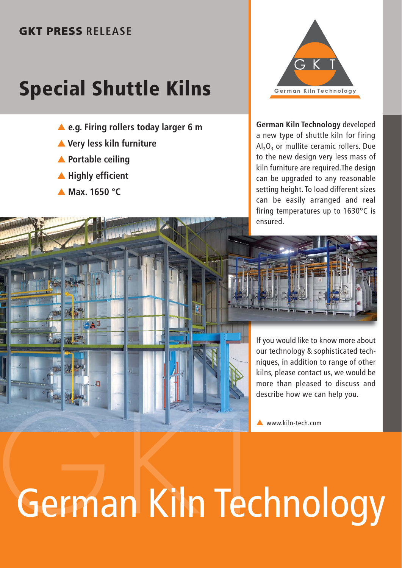## **GKT PRESS RELEASE**

# **Special Shuttle Kilns**

- ▲ e.g. Firing rollers today larger 6 m
- ▲ **Very less kiln furniture**
- ▲ **Portable ceiling**
- ▲ **Highly efficient**

**A** 3

▲ **Max. 1650 °C**



**German Kiln Technology** developed a new type of shuttle kiln for firing  $Al_2O_3$  or mullite ceramic rollers. Due to the new design very less mass of kiln furniture are required.The design can be upgraded to any reasonable setting height. To load different sizes can be easily arranged and real firing temperatures up to 1630°C is ensured.



If you would like to know more about our technology & sophisticated techniques, in addition to range of other kilns, please contact us, we would be more than pleased to discuss and describe how we can help you.

▲ www.kiln-tech.com

# German Kiln Technology